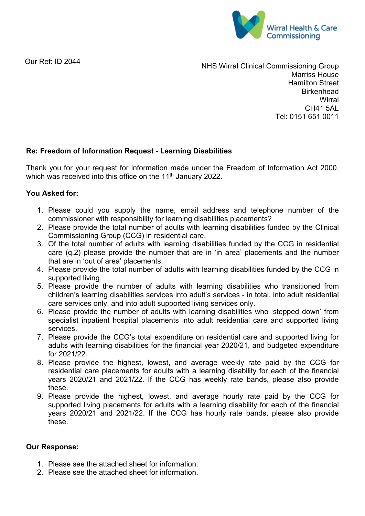

Our Ref: ID 2044

NHS Wirral Clinical Commissioning Group Marriss House Hamilton Street **Birkenhead Wirral** CH41 5AL Tel: 0151 651 0011

## **Re: Freedom of Information Request - Learning Disabilities**

Thank you for your request for information made under the Freedom of Information Act 2000, which was received into this office on the 11<sup>th</sup> January 2022.

## **You Asked for:**

- 1. Please could you supply the name, email address and telephone number of the commissioner with responsibility for learning disabilities placements?
- 2. Please provide the total number of adults with learning disabilities funded by the Clinical Commissioning Group (CCG) in residential care.
- 3. Of the total number of adults with learning disabilities funded by the CCG in residential care (q.2) please provide the number that are in 'in area' placements and the number that are in 'out of area' placements.
- 4. Please provide the total number of adults with learning disabilities funded by the CCG in supported living.
- 5. Please provide the number of adults with learning disabilities who transitioned from children's learning disabilities services into adult's services - in total, into adult residential care services only, and into adult supported living services only.
- 6. Please provide the number of adults with learning disabilities who 'stepped down' from specialist inpatient hospital placements into adult residential care and supported living services.
- 7. Please provide the CCG's total expenditure on residential care and supported living for adults with learning disabilities for the financial year 2020/21, and budgeted expenditure for 2021/22.
- 8. Please provide the highest, lowest, and average weekly rate paid by the CCG for residential care placements for adults with a learning disability for each of the financial years 2020/21 and 2021/22. If the CCG has weekly rate bands, please also provide these.
- 9. Please provide the highest, lowest, and average hourly rate paid by the CCG for supported living placements for adults with a learning disability for each of the financial years 2020/21 and 2021/22. If the CCG has hourly rate bands, please also provide these.

## **Our Response:**

- 1. Please see the attached sheet for information.
- 2. Please see the attached sheet for information.